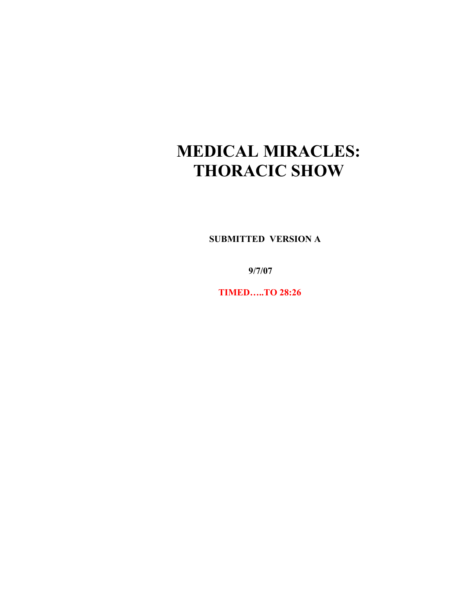# **MEDICAL MIRACLES: THORACIC SHOW**

 **SUBMITTED VERSION A**

 **9/7/07**

 **TIMED…..TO 28:26**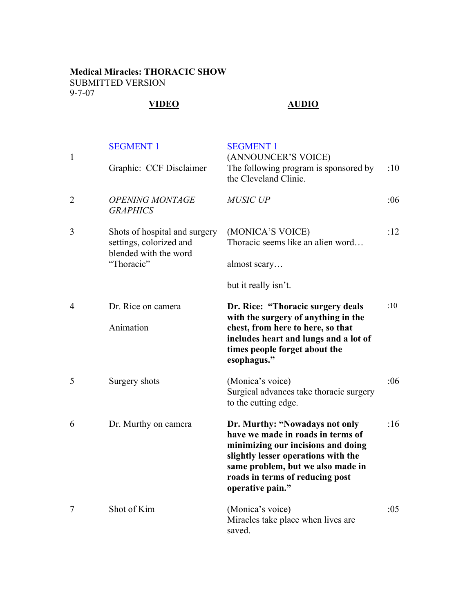## **Medical Miracles: THORACIC SHOW** SUBMITTED VERSION 9-7-07

# **VIDEO AUDIO**

| $\mathbf{1}$   | <b>SEGMENT 1</b><br>Graphic: CCF Disclaimer                                                     | <b>SEGMENT 1</b><br>(ANNOUNCER'S VOICE)<br>The following program is sponsored by<br>the Cleveland Clinic.                                                                                                                                    | :10 |
|----------------|-------------------------------------------------------------------------------------------------|----------------------------------------------------------------------------------------------------------------------------------------------------------------------------------------------------------------------------------------------|-----|
| 2              | <b>OPENING MONTAGE</b><br><b>GRAPHICS</b>                                                       | <b>MUSIC UP</b>                                                                                                                                                                                                                              | :06 |
| 3              | Shots of hospital and surgery<br>settings, colorized and<br>blended with the word<br>"Thoracic" | (MONICA'S VOICE)<br>Thoracic seems like an alien word<br>almost scary                                                                                                                                                                        | :12 |
|                |                                                                                                 | but it really isn't.                                                                                                                                                                                                                         |     |
| $\overline{4}$ | Dr. Rice on camera<br>Animation                                                                 | Dr. Rice: "Thoracic surgery deals<br>with the surgery of anything in the<br>chest, from here to here, so that<br>includes heart and lungs and a lot of<br>times people forget about the<br>esophagus."                                       | :10 |
| 5              | Surgery shots                                                                                   | (Monica's voice)<br>Surgical advances take thoracic surgery<br>to the cutting edge.                                                                                                                                                          | :06 |
| 6              | Dr. Murthy on camera                                                                            | Dr. Murthy: "Nowadays not only<br>have we made in roads in terms of<br>minimizing our incisions and doing<br>slightly lesser operations with the<br>same problem, but we also made in<br>roads in terms of reducing post<br>operative pain." | :16 |
| 7              | Shot of Kim                                                                                     | (Monica's voice)<br>Miracles take place when lives are<br>saved.                                                                                                                                                                             | :05 |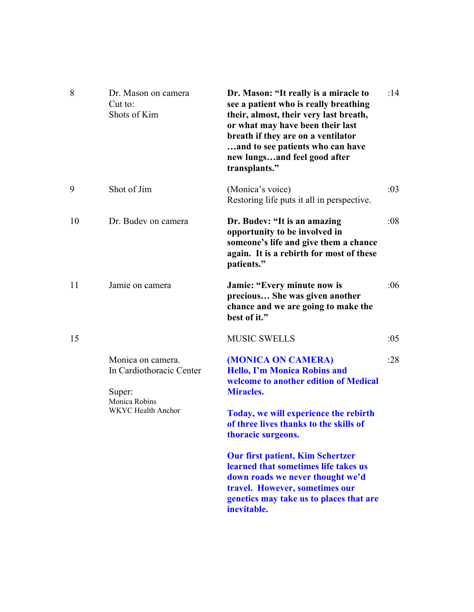| 8  | Dr. Mason on camera<br>Cut to:<br>Shots of Kim                                                 | Dr. Mason: "It really is a miracle to<br>see a patient who is really breathing<br>their, almost, their very last breath,<br>or what may have been their last<br>breath if they are on a ventilator<br>and to see patients who can have<br>new lungsand feel good after<br>transplants." | :14 |
|----|------------------------------------------------------------------------------------------------|-----------------------------------------------------------------------------------------------------------------------------------------------------------------------------------------------------------------------------------------------------------------------------------------|-----|
| 9  | Shot of Jim                                                                                    | (Monica's voice)<br>Restoring life puts it all in perspective.                                                                                                                                                                                                                          | :03 |
| 10 | Dr. Budev on camera                                                                            | Dr. Budev: "It is an amazing<br>opportunity to be involved in<br>someone's life and give them a chance<br>again. It is a rebirth for most of these<br>patients."                                                                                                                        | :08 |
| 11 | Jamie on camera                                                                                | Jamie: "Every minute now is<br>precious She was given another<br>chance and we are going to make the<br>best of it."                                                                                                                                                                    | :06 |
| 15 |                                                                                                | <b>MUSIC SWELLS</b>                                                                                                                                                                                                                                                                     | :05 |
|    | Monica on camera.<br>In Cardiothoracic Center<br>Super:<br>Monica Robins<br>WKYC Health Anchor | (MONICA ON CAMERA)<br><b>Hello, I'm Monica Robins and</b><br>welcome to another edition of Medical<br><b>Miracles.</b><br>Today, we will experience the rebirth<br>of three lives thanks to the skills of<br>thoracic surgeons.                                                         | :28 |
|    |                                                                                                | <b>Our first patient, Kim Schertzer</b><br>learned that sometimes life takes us<br>down roads we never thought we'd<br>travel. However, sometimes our<br>genetics may take us to places that are<br>inevitable.                                                                         |     |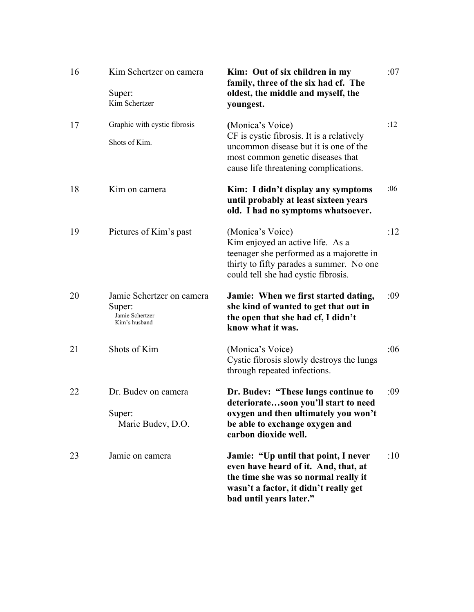| 16 | Kim Schertzer on camera<br>Super:<br>Kim Schertzer                      | Kim: Out of six children in my<br>family, three of the six had cf. The<br>oldest, the middle and myself, the<br>youngest.                                                                | :07 |
|----|-------------------------------------------------------------------------|------------------------------------------------------------------------------------------------------------------------------------------------------------------------------------------|-----|
| 17 | Graphic with cystic fibrosis<br>Shots of Kim.                           | (Monica's Voice)<br>CF is cystic fibrosis. It is a relatively<br>uncommon disease but it is one of the<br>most common genetic diseases that<br>cause life threatening complications.     | :12 |
| 18 | Kim on camera                                                           | Kim: I didn't display any symptoms<br>until probably at least sixteen years<br>old. I had no symptoms whatsoever.                                                                        | :06 |
| 19 | Pictures of Kim's past                                                  | (Monica's Voice)<br>Kim enjoyed an active life. As a<br>teenager she performed as a majorette in<br>thirty to fifty parades a summer. No one<br>could tell she had cystic fibrosis.      | :12 |
| 20 | Jamie Schertzer on camera<br>Super:<br>Jamie Schertzer<br>Kim's husband | Jamie: When we first started dating,<br>she kind of wanted to get that out in<br>the open that she had cf, I didn't<br>know what it was.                                                 | :09 |
| 21 | Shots of Kim                                                            | (Monica's Voice)<br>Cystic fibrosis slowly destroys the lungs<br>through repeated infections.                                                                                            | :06 |
| 22 | Dr. Budev on camera<br>Super:<br>Marie Budev, D.O.                      | Dr. Budev: "These lungs continue to<br>deterioratesoon you'll start to need<br>oxygen and then ultimately you won't<br>be able to exchange oxygen and<br>carbon dioxide well.            | :09 |
| 23 | Jamie on camera                                                         | Jamie: "Up until that point, I never<br>even have heard of it. And, that, at<br>the time she was so normal really it<br>wasn't a factor, it didn't really get<br>bad until years later." | :10 |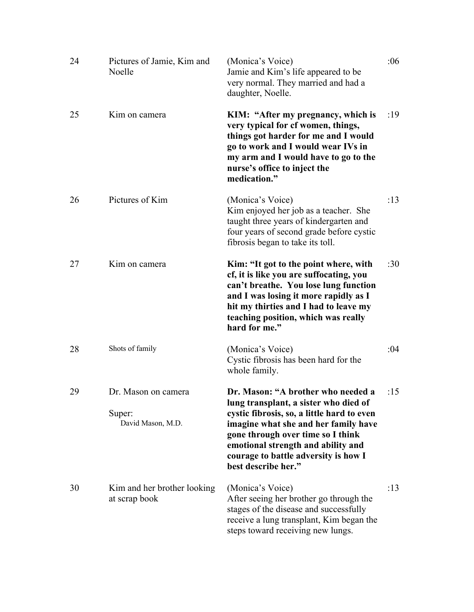| 24 | Pictures of Jamie, Kim and<br>Noelle               | (Monica's Voice)<br>Jamie and Kim's life appeared to be<br>very normal. They married and had a<br>daughter, Noelle.                                                                                                                                                                                         | :06 |
|----|----------------------------------------------------|-------------------------------------------------------------------------------------------------------------------------------------------------------------------------------------------------------------------------------------------------------------------------------------------------------------|-----|
| 25 | Kim on camera                                      | KIM: "After my pregnancy, which is<br>very typical for cf women, things,<br>things got harder for me and I would<br>go to work and I would wear IVs in<br>my arm and I would have to go to the<br>nurse's office to inject the<br>medication."                                                              | :19 |
| 26 | Pictures of Kim                                    | (Monica's Voice)<br>Kim enjoyed her job as a teacher. She<br>taught three years of kindergarten and<br>four years of second grade before cystic<br>fibrosis began to take its toll.                                                                                                                         | :13 |
| 27 | Kim on camera                                      | Kim: "It got to the point where, with<br>cf, it is like you are suffocating, you<br>can't breathe. You lose lung function<br>and I was losing it more rapidly as I<br>hit my thirties and I had to leave my<br>teaching position, which was really<br>hard for me."                                         | :30 |
| 28 | Shots of family                                    | (Monica's Voice)<br>Cystic fibrosis has been hard for the<br>whole family.                                                                                                                                                                                                                                  | :04 |
| 29 | Dr. Mason on camera<br>Super:<br>David Mason, M.D. | Dr. Mason: "A brother who needed a<br>lung transplant, a sister who died of<br>cystic fibrosis, so, a little hard to even<br>imagine what she and her family have<br>gone through over time so I think<br>emotional strength and ability and<br>courage to battle adversity is how I<br>best describe her." | :15 |
| 30 | Kim and her brother looking<br>at scrap book       | (Monica's Voice)<br>After seeing her brother go through the<br>stages of the disease and successfully<br>receive a lung transplant, Kim began the<br>steps toward receiving new lungs.                                                                                                                      | :13 |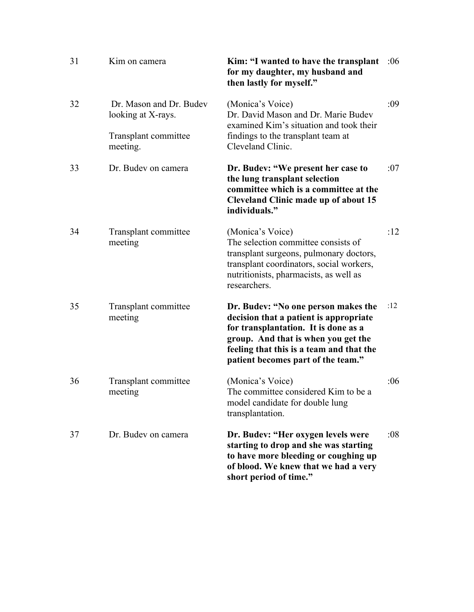| 31 | Kim on camera                                 | Kim: "I wanted to have the transplant<br>for my daughter, my husband and<br>then lastly for myself."                                                                                                                                           | :06 |
|----|-----------------------------------------------|------------------------------------------------------------------------------------------------------------------------------------------------------------------------------------------------------------------------------------------------|-----|
| 32 | Dr. Mason and Dr. Budev<br>looking at X-rays. | (Monica's Voice)<br>Dr. David Mason and Dr. Marie Budev<br>examined Kim's situation and took their                                                                                                                                             | :09 |
|    | Transplant committee<br>meeting.              | findings to the transplant team at<br>Cleveland Clinic.                                                                                                                                                                                        |     |
| 33 | Dr. Budev on camera                           | Dr. Budev: "We present her case to<br>the lung transplant selection<br>committee which is a committee at the<br><b>Cleveland Clinic made up of about 15</b><br>individuals."                                                                   | :07 |
| 34 | Transplant committee<br>meeting               | (Monica's Voice)<br>The selection committee consists of<br>transplant surgeons, pulmonary doctors,<br>transplant coordinators, social workers,<br>nutritionists, pharmacists, as well as<br>researchers.                                       | :12 |
| 35 | Transplant committee<br>meeting               | Dr. Budev: "No one person makes the<br>decision that a patient is appropriate<br>for transplantation. It is done as a<br>group. And that is when you get the<br>feeling that this is a team and that the<br>patient becomes part of the team." | :12 |
| 36 | Transplant committee<br>meeting               | (Monica's Voice)<br>The committee considered Kim to be a<br>model candidate for double lung<br>transplantation.                                                                                                                                | :06 |
| 37 | Dr. Budev on camera                           | Dr. Budev: "Her oxygen levels were<br>starting to drop and she was starting<br>to have more bleeding or coughing up<br>of blood. We knew that we had a very<br>short period of time."                                                          | :08 |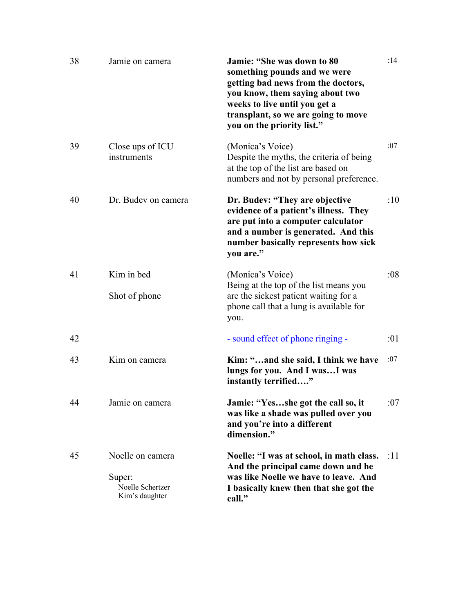| 38 | Jamie on camera                                                  | Jamie: "She was down to 80<br>something pounds and we were<br>getting bad news from the doctors,<br>you know, them saying about two<br>weeks to live until you get a<br>transplant, so we are going to move<br>you on the priority list." | :14 |
|----|------------------------------------------------------------------|-------------------------------------------------------------------------------------------------------------------------------------------------------------------------------------------------------------------------------------------|-----|
| 39 | Close ups of ICU<br>instruments                                  | (Monica's Voice)<br>Despite the myths, the criteria of being<br>at the top of the list are based on<br>numbers and not by personal preference.                                                                                            | :07 |
| 40 | Dr. Budev on camera                                              | Dr. Budev: "They are objective<br>evidence of a patient's illness. They<br>are put into a computer calculator<br>and a number is generated. And this<br>number basically represents how sick<br>you are."                                 | :10 |
| 41 | Kim in bed<br>Shot of phone                                      | (Monica's Voice)<br>Being at the top of the list means you<br>are the sickest patient waiting for a<br>phone call that a lung is available for<br>you.                                                                                    | :08 |
| 42 |                                                                  | - sound effect of phone ringing -                                                                                                                                                                                                         | :01 |
| 43 | Kim on camera                                                    | Kim: "and she said, I think we have<br>lungs for you. And I wasI was<br>instantly terrified"                                                                                                                                              | :07 |
| 44 | Jamie on camera                                                  | Jamie: "Yesshe got the call so, it<br>was like a shade was pulled over you<br>and you're into a different<br>dimension."                                                                                                                  | :07 |
| 45 | Noelle on camera<br>Super:<br>Noelle Schertzer<br>Kim's daughter | Noelle: "I was at school, in math class.<br>And the principal came down and he<br>was like Noelle we have to leave. And<br>I basically knew then that she got the<br>call."                                                               | :11 |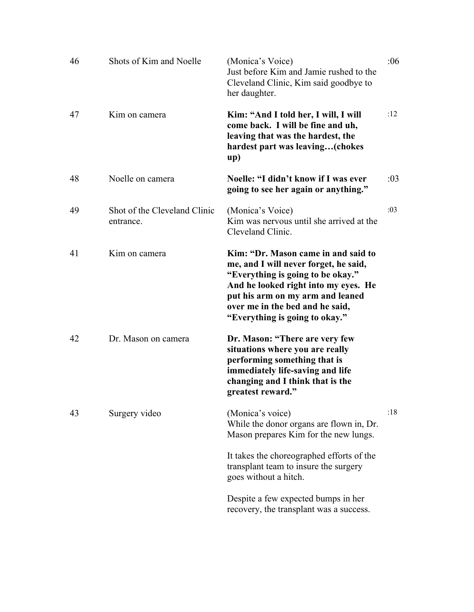| 46 | Shots of Kim and Noelle                   | (Monica's Voice)<br>Just before Kim and Jamie rushed to the<br>Cleveland Clinic, Kim said goodbye to<br>her daughter.                                                                                                                                              | :06 |
|----|-------------------------------------------|--------------------------------------------------------------------------------------------------------------------------------------------------------------------------------------------------------------------------------------------------------------------|-----|
| 47 | Kim on camera                             | Kim: "And I told her, I will, I will<br>come back. I will be fine and uh,<br>leaving that was the hardest, the<br>hardest part was leaving(chokes<br>up)                                                                                                           | :12 |
| 48 | Noelle on camera                          | Noelle: "I didn't know if I was ever<br>going to see her again or anything."                                                                                                                                                                                       | :03 |
| 49 | Shot of the Cleveland Clinic<br>entrance. | (Monica's Voice)<br>Kim was nervous until she arrived at the<br>Cleveland Clinic.                                                                                                                                                                                  | :03 |
| 41 | Kim on camera                             | Kim: "Dr. Mason came in and said to<br>me, and I will never forget, he said,<br>"Everything is going to be okay."<br>And he looked right into my eyes. He<br>put his arm on my arm and leaned<br>over me in the bed and he said,<br>"Everything is going to okay." |     |
| 42 | Dr. Mason on camera                       | Dr. Mason: "There are very few<br>situations where you are really<br>performing something that is<br>immediately life-saving and life<br>changing and I think that is the<br>greatest reward."                                                                     |     |
| 43 | Surgery video                             | (Monica's voice)<br>While the donor organs are flown in, Dr.<br>Mason prepares Kim for the new lungs.                                                                                                                                                              | :18 |
|    |                                           | It takes the choreographed efforts of the<br>transplant team to insure the surgery<br>goes without a hitch.                                                                                                                                                        |     |
|    |                                           | Despite a few expected bumps in her<br>recovery, the transplant was a success.                                                                                                                                                                                     |     |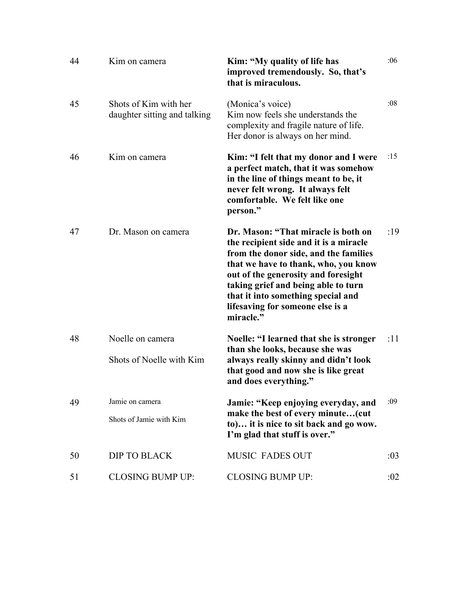| 44 | Kim on camera                                         | Kim: "My quality of life has<br>improved tremendously. So, that's<br>that is miraculous.                                                                                                                                                                                                                                            | :06 |
|----|-------------------------------------------------------|-------------------------------------------------------------------------------------------------------------------------------------------------------------------------------------------------------------------------------------------------------------------------------------------------------------------------------------|-----|
| 45 | Shots of Kim with her<br>daughter sitting and talking | (Monica's voice)<br>Kim now feels she understands the<br>complexity and fragile nature of life.<br>Her donor is always on her mind.                                                                                                                                                                                                 | :08 |
| 46 | Kim on camera                                         | Kim: "I felt that my donor and I were<br>a perfect match, that it was somehow<br>in the line of things meant to be, it<br>never felt wrong. It always felt<br>comfortable. We felt like one<br>person."                                                                                                                             | :15 |
| 47 | Dr. Mason on camera                                   | Dr. Mason: "That miracle is both on<br>the recipient side and it is a miracle<br>from the donor side, and the families<br>that we have to thank, who, you know<br>out of the generosity and foresight<br>taking grief and being able to turn<br>that it into something special and<br>lifesaving for someone else is a<br>miracle." | :19 |
| 48 | Noelle on camera<br>Shots of Noelle with Kim          | Noelle: "I learned that she is stronger<br>than she looks, because she was<br>always really skinny and didn't look<br>that good and now she is like great                                                                                                                                                                           | :11 |
|    |                                                       | and does everything."                                                                                                                                                                                                                                                                                                               |     |
| 49 | Jamie on camera                                       | Jamie: "Keep enjoying everyday, and :09<br>make the best of every minute(cut                                                                                                                                                                                                                                                        |     |
|    | Shots of Jamie with Kim                               | to) it is nice to sit back and go wow.<br>I'm glad that stuff is over."                                                                                                                                                                                                                                                             |     |
| 50 | DIP TO BLACK                                          | <b>MUSIC FADES OUT</b>                                                                                                                                                                                                                                                                                                              | :03 |
| 51 | <b>CLOSING BUMP UP:</b>                               | <b>CLOSING BUMP UP:</b>                                                                                                                                                                                                                                                                                                             | :02 |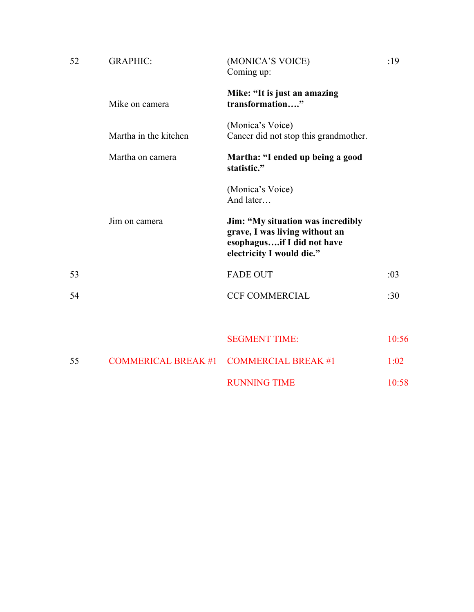| 52 | <b>GRAPHIC:</b>            | (MONICA'S VOICE)<br>Coming up:                                                                                                 | :19   |
|----|----------------------------|--------------------------------------------------------------------------------------------------------------------------------|-------|
|    | Mike on camera             | Mike: "It is just an amazing<br>transformation"                                                                                |       |
|    | Martha in the kitchen      | (Monica's Voice)<br>Cancer did not stop this grandmother.                                                                      |       |
|    | Martha on camera           | Martha: "I ended up being a good<br>statistic."                                                                                |       |
|    |                            | (Monica's Voice)<br>And later                                                                                                  |       |
|    | Jim on camera              | Jim: "My situation was incredibly<br>grave, I was living without an<br>esophagusif I did not have<br>electricity I would die." |       |
| 53 |                            | <b>FADE OUT</b>                                                                                                                | :03   |
| 54 |                            | <b>CCF COMMERCIAL</b>                                                                                                          | :30   |
|    |                            |                                                                                                                                |       |
|    |                            | <b>SEGMENT TIME:</b>                                                                                                           | 10:56 |
| 55 | <b>COMMERICAL BREAK #1</b> | <b>COMMERCIAL BREAK #1</b>                                                                                                     | 1:02  |
|    |                            | <b>RUNNING TIME</b>                                                                                                            | 10:58 |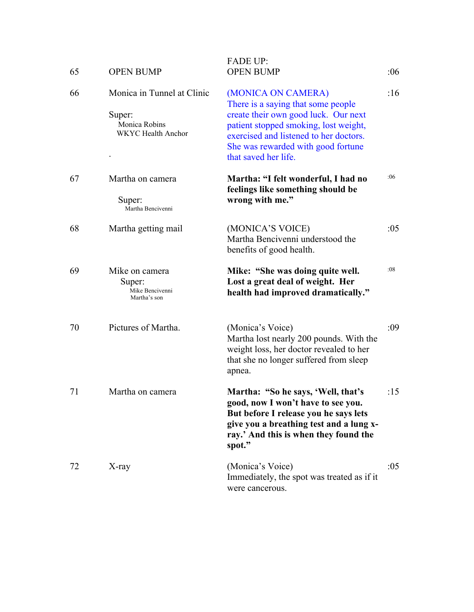| 65 | <b>OPEN BUMP</b>                                                                   | <b>FADE UP:</b><br><b>OPEN BUMP</b>                                                                                                                                                                                                               | :06 |
|----|------------------------------------------------------------------------------------|---------------------------------------------------------------------------------------------------------------------------------------------------------------------------------------------------------------------------------------------------|-----|
| 66 | Monica in Tunnel at Clinic<br>Super:<br>Monica Robins<br><b>WKYC</b> Health Anchor | (MONICA ON CAMERA)<br>There is a saying that some people<br>create their own good luck. Our next<br>patient stopped smoking, lost weight,<br>exercised and listened to her doctors.<br>She was rewarded with good fortune<br>that saved her life. | :16 |
| 67 | Martha on camera<br>Super:<br>Martha Bencivenni                                    | Martha: "I felt wonderful, I had no<br>feelings like something should be<br>wrong with me."                                                                                                                                                       | :06 |
| 68 | Martha getting mail                                                                | (MONICA'S VOICE)<br>Martha Bencivenni understood the<br>benefits of good health.                                                                                                                                                                  | :05 |
| 69 | Mike on camera<br>Super:<br>Mike Bencivenni<br>Martha's son                        | Mike: "She was doing quite well.<br>Lost a great deal of weight. Her<br>health had improved dramatically."                                                                                                                                        | :08 |
| 70 | Pictures of Martha.                                                                | (Monica's Voice)<br>Martha lost nearly 200 pounds. With the<br>weight loss, her doctor revealed to her<br>that she no longer suffered from sleep<br>apnea.                                                                                        | :09 |
| 71 | Martha on camera                                                                   | Martha: "So he says, 'Well, that's<br>good, now I won't have to see you.<br>But before I release you he says lets<br>give you a breathing test and a lung x-<br>ray.' And this is when they found the<br>spot."                                   | :15 |
| 72 | X-ray                                                                              | (Monica's Voice)<br>Immediately, the spot was treated as if it<br>were cancerous.                                                                                                                                                                 | :05 |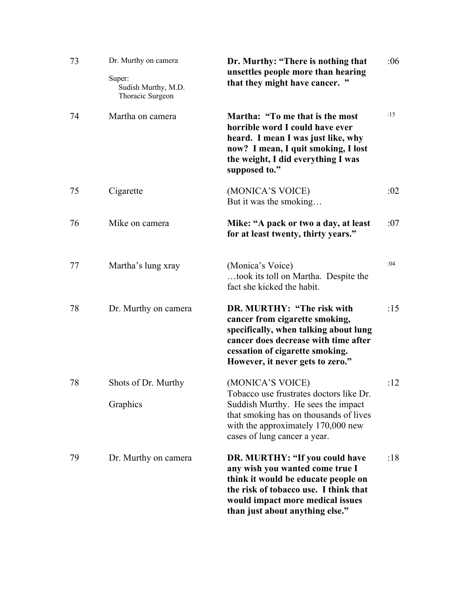| 73 | Dr. Murthy on camera<br>Super:<br>Sudish Murthy, M.D.<br>Thoracic Surgeon | Dr. Murthy: "There is nothing that<br>unsettles people more than hearing<br>that they might have cancer. "                                                                                                               | :06 |
|----|---------------------------------------------------------------------------|--------------------------------------------------------------------------------------------------------------------------------------------------------------------------------------------------------------------------|-----|
| 74 | Martha on camera                                                          | Martha: "To me that is the most<br>horrible word I could have ever<br>heard. I mean I was just like, why<br>now? I mean, I quit smoking, I lost<br>the weight, I did everything I was<br>supposed to."                   | :15 |
| 75 | Cigarette                                                                 | (MONICA'S VOICE)<br>But it was the smoking                                                                                                                                                                               | :02 |
| 76 | Mike on camera                                                            | Mike: "A pack or two a day, at least<br>for at least twenty, thirty years."                                                                                                                                              | :07 |
| 77 | Martha's lung xray                                                        | (Monica's Voice)<br>took its toll on Martha. Despite the<br>fact she kicked the habit.                                                                                                                                   | :04 |
| 78 | Dr. Murthy on camera                                                      | DR. MURTHY: "The risk with<br>cancer from cigarette smoking,<br>specifically, when talking about lung<br>cancer does decrease with time after<br>cessation of cigarette smoking.<br>However, it never gets to zero."     | :15 |
| 78 | Shots of Dr. Murthy<br>Graphics                                           | (MONICA'S VOICE)<br>Tobacco use frustrates doctors like Dr.<br>Suddish Murthy. He sees the impact<br>that smoking has on thousands of lives<br>with the approximately 170,000 new<br>cases of lung cancer a year.        | :12 |
| 79 | Dr. Murthy on camera                                                      | DR. MURTHY: "If you could have<br>any wish you wanted come true I<br>think it would be educate people on<br>the risk of tobacco use. I think that<br>would impact more medical issues<br>than just about anything else." | :18 |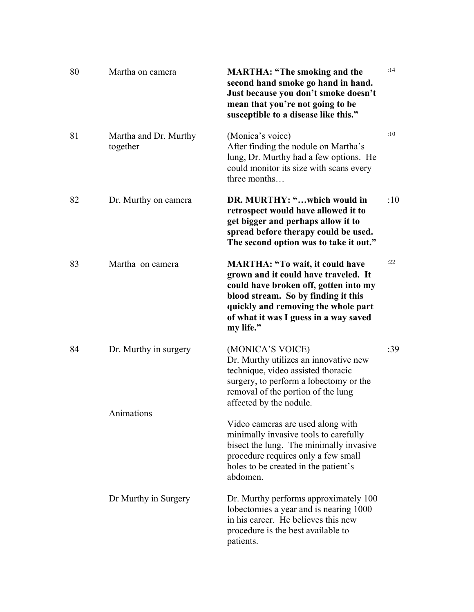| 80 | Martha on camera                  | <b>MARTHA: "The smoking and the</b><br>second hand smoke go hand in hand.<br>Just because you don't smoke doesn't<br>mean that you're not going to be<br>susceptible to a disease like this."                                                               | :14 |
|----|-----------------------------------|-------------------------------------------------------------------------------------------------------------------------------------------------------------------------------------------------------------------------------------------------------------|-----|
| 81 | Martha and Dr. Murthy<br>together | (Monica's voice)<br>After finding the nodule on Martha's<br>lung, Dr. Murthy had a few options. He<br>could monitor its size with scans every<br>three months                                                                                               | :10 |
| 82 | Dr. Murthy on camera              | DR. MURTHY: "which would in<br>retrospect would have allowed it to<br>get bigger and perhaps allow it to<br>spread before therapy could be used.<br>The second option was to take it out."                                                                  | :10 |
| 83 | Martha on camera                  | <b>MARTHA: "To wait, it could have</b><br>grown and it could have traveled. It<br>could have broken off, gotten into my<br>blood stream. So by finding it this<br>quickly and removing the whole part<br>of what it was I guess in a way saved<br>my life." | :22 |
| 84 | Dr. Murthy in surgery             | (MONICA'S VOICE)<br>Dr. Murthy utilizes an innovative new<br>technique, video assisted thoracic<br>surgery, to perform a lobectomy or the<br>removal of the portion of the lung<br>affected by the nodule.                                                  | :39 |
|    | Animations                        | Video cameras are used along with<br>minimally invasive tools to carefully<br>bisect the lung. The minimally invasive<br>procedure requires only a few small<br>holes to be created in the patient's<br>abdomen.                                            |     |
|    | Dr Murthy in Surgery              | Dr. Murthy performs approximately 100<br>lobectomies a year and is nearing 1000<br>in his career. He believes this new<br>procedure is the best available to<br>patients.                                                                                   |     |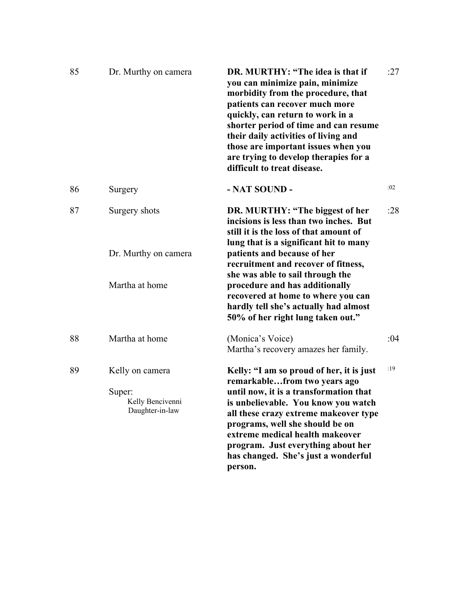| 85 | Dr. Murthy on camera                                             | DR. MURTHY: "The idea is that if<br>you can minimize pain, minimize<br>morbidity from the procedure, that<br>patients can recover much more<br>quickly, can return to work in a<br>shorter period of time and can resume<br>their daily activities of living and<br>those are important issues when you<br>are trying to develop therapies for a<br>difficult to treat disease. | :27 |
|----|------------------------------------------------------------------|---------------------------------------------------------------------------------------------------------------------------------------------------------------------------------------------------------------------------------------------------------------------------------------------------------------------------------------------------------------------------------|-----|
| 86 | Surgery                                                          | - NAT SOUND -                                                                                                                                                                                                                                                                                                                                                                   | :02 |
| 87 | Surgery shots                                                    | DR. MURTHY: "The biggest of her<br>incisions is less than two inches. But<br>still it is the loss of that amount of<br>lung that is a significant hit to many                                                                                                                                                                                                                   | :28 |
|    | Dr. Murthy on camera                                             | patients and because of her<br>recruitment and recover of fitness,<br>she was able to sail through the                                                                                                                                                                                                                                                                          |     |
|    | Martha at home                                                   | procedure and has additionally<br>recovered at home to where you can<br>hardly tell she's actually had almost<br>50% of her right lung taken out."                                                                                                                                                                                                                              |     |
| 88 | Martha at home                                                   | (Monica's Voice)<br>Martha's recovery amazes her family.                                                                                                                                                                                                                                                                                                                        | :04 |
| 89 | Kelly on camera<br>Super:<br>Kelly Bencivenni<br>Daughter-in-law | Kelly: "I am so proud of her, it is just<br>remarkablefrom two years ago<br>until now, it is a transformation that<br>is unbelievable. You know you watch<br>all these crazy extreme makeover type<br>programs, well she should be on<br>extreme medical health makeover<br>program. Just everything about her<br>has changed. She's just a wonderful<br>person.                | :19 |
|    |                                                                  |                                                                                                                                                                                                                                                                                                                                                                                 |     |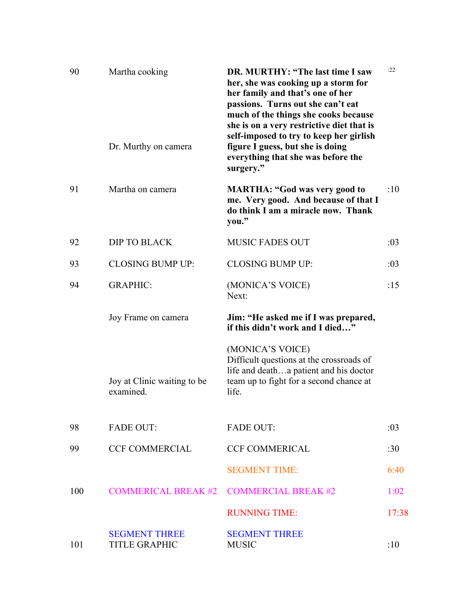| 90  | Martha cooking<br>Dr. Murthy on camera       | DR. MURTHY: "The last time I saw<br>her, she was cooking up a storm for<br>her family and that's one of her<br>passions. Turns out she can't eat<br>much of the things she cooks because<br>she is on a very restrictive diet that is<br>self-imposed to try to keep her girlish<br>figure I guess, but she is doing | :22   |
|-----|----------------------------------------------|----------------------------------------------------------------------------------------------------------------------------------------------------------------------------------------------------------------------------------------------------------------------------------------------------------------------|-------|
|     |                                              | everything that she was before the<br>surgery."                                                                                                                                                                                                                                                                      |       |
| 91  | Martha on camera                             | <b>MARTHA: "God was very good to</b><br>me. Very good. And because of that I<br>do think I am a miracle now. Thank<br>you."                                                                                                                                                                                          | :10   |
| 92  | <b>DIP TO BLACK</b>                          | <b>MUSIC FADES OUT</b>                                                                                                                                                                                                                                                                                               | :03   |
| 93  | <b>CLOSING BUMP UP:</b>                      | <b>CLOSING BUMP UP:</b>                                                                                                                                                                                                                                                                                              | :03   |
| 94  | <b>GRAPHIC:</b>                              | (MONICA'S VOICE)<br>Next:                                                                                                                                                                                                                                                                                            | :15   |
|     | Joy Frame on camera                          | Jim: "He asked me if I was prepared,<br>if this didn't work and I died"                                                                                                                                                                                                                                              |       |
|     | Joy at Clinic waiting to be<br>examined.     | (MONICA'S VOICE)<br>Difficult questions at the crossroads of<br>life and deatha patient and his doctor<br>team up to fight for a second chance at<br>life.                                                                                                                                                           |       |
| 98  | <b>FADE OUT:</b>                             | <b>FADE OUT:</b>                                                                                                                                                                                                                                                                                                     | :03   |
| 99  | <b>CCF COMMERCIAL</b>                        | <b>CCF COMMERICAL</b>                                                                                                                                                                                                                                                                                                | :30   |
|     |                                              | <b>SEGMENT TIME:</b>                                                                                                                                                                                                                                                                                                 | 6:40  |
| 100 | <b>COMMERICAL BREAK #2</b>                   | <b>COMMERCIAL BREAK #2</b>                                                                                                                                                                                                                                                                                           | 1:02  |
|     |                                              | <b>RUNNING TIME:</b>                                                                                                                                                                                                                                                                                                 | 17:38 |
| 101 | <b>SEGMENT THREE</b><br><b>TITLE GRAPHIC</b> | <b>SEGMENT THREE</b><br><b>MUSIC</b>                                                                                                                                                                                                                                                                                 | :10   |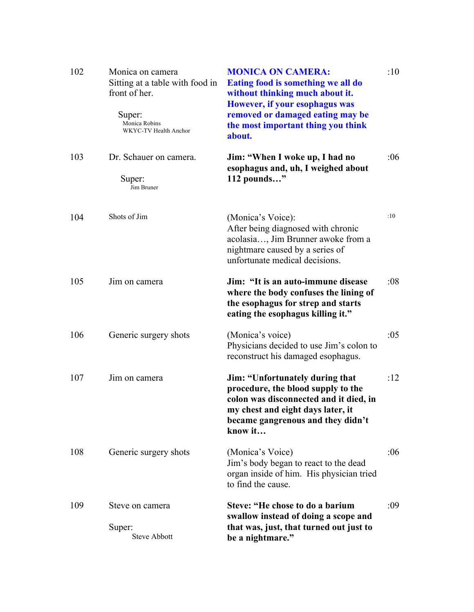| 102 | Monica on camera<br>Sitting at a table with food in<br>front of her.<br>Super:<br>Monica Robins<br>WKYC-TV Health Anchor | <b>MONICA ON CAMERA:</b><br>Eating food is something we all do<br>without thinking much about it.<br>However, if your esophagus was<br>removed or damaged eating may be<br>the most important thing you think<br>about. | :10 |
|-----|--------------------------------------------------------------------------------------------------------------------------|-------------------------------------------------------------------------------------------------------------------------------------------------------------------------------------------------------------------------|-----|
| 103 | Dr. Schauer on camera.                                                                                                   | Jim: "When I woke up, I had no<br>esophagus and, uh, I weighed about                                                                                                                                                    | :06 |
|     | Super:<br>Jim Bruner                                                                                                     | 112 pounds"                                                                                                                                                                                                             |     |
| 104 | Shots of Jim                                                                                                             | (Monica's Voice):<br>After being diagnosed with chronic<br>acolasia, Jim Brunner awoke from a<br>nightmare caused by a series of<br>unfortunate medical decisions.                                                      | :10 |
| 105 | Jim on camera                                                                                                            | Jim: "It is an auto-immune disease<br>where the body confuses the lining of<br>the esophagus for strep and starts<br>eating the esophagus killing it."                                                                  | :08 |
| 106 | Generic surgery shots                                                                                                    | (Monica's voice)<br>Physicians decided to use Jim's colon to<br>reconstruct his damaged esophagus.                                                                                                                      | :05 |
| 107 | Jim on camera                                                                                                            | Jim: "Unfortunately during that<br>procedure, the blood supply to the<br>colon was disconnected and it died, in<br>my chest and eight days later, it<br>became gangrenous and they didn't<br>know it                    | :12 |
| 108 | Generic surgery shots                                                                                                    | (Monica's Voice)<br>Jim's body began to react to the dead<br>organ inside of him. His physician tried<br>to find the cause.                                                                                             | :06 |
| 109 | Steve on camera<br>Super:<br><b>Steve Abbott</b>                                                                         | Steve: "He chose to do a barium<br>swallow instead of doing a scope and<br>that was, just, that turned out just to<br>be a nightmare."                                                                                  | :09 |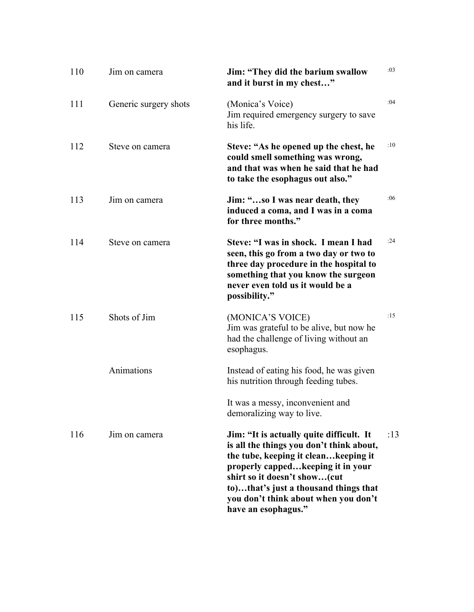| 110 | Jim on camera         | Jim: "They did the barium swallow<br>and it burst in my chest"                                                                                                                                                                                                                                            | :03 |
|-----|-----------------------|-----------------------------------------------------------------------------------------------------------------------------------------------------------------------------------------------------------------------------------------------------------------------------------------------------------|-----|
| 111 | Generic surgery shots | (Monica's Voice)<br>Jim required emergency surgery to save<br>his life.                                                                                                                                                                                                                                   | :04 |
| 112 | Steve on camera       | Steve: "As he opened up the chest, he<br>could smell something was wrong,<br>and that was when he said that he had<br>to take the esophagus out also."                                                                                                                                                    | :10 |
| 113 | Jim on camera         | Jim: "so I was near death, they<br>induced a coma, and I was in a coma<br>for three months."                                                                                                                                                                                                              | :06 |
| 114 | Steve on camera       | Steve: "I was in shock. I mean I had<br>seen, this go from a two day or two to<br>three day procedure in the hospital to<br>something that you know the surgeon<br>never even told us it would be a<br>possibility."                                                                                      | :24 |
| 115 | Shots of Jim          | (MONICA'S VOICE)<br>Jim was grateful to be alive, but now he<br>had the challenge of living without an<br>esophagus.                                                                                                                                                                                      | :15 |
|     | Animations            | Instead of eating his food, he was given<br>his nutrition through feeding tubes.                                                                                                                                                                                                                          |     |
|     |                       | It was a messy, inconvenient and<br>demoralizing way to live.                                                                                                                                                                                                                                             |     |
| 116 | Jim on camera         | Jim: "It is actually quite difficult. It<br>is all the things you don't think about,<br>the tube, keeping it cleankeeping it<br>properly cappedkeeping it in your<br>shirt so it doesn't show(cut<br>to)that's just a thousand things that<br>you don't think about when you don't<br>have an esophagus." | :13 |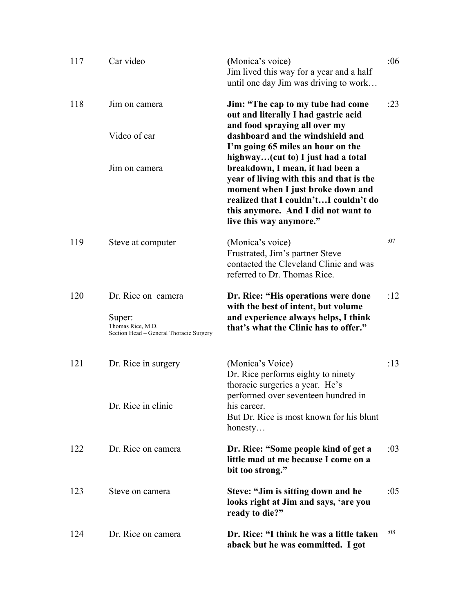| 117 | Car video                                                              | (Monica's voice)<br>Jim lived this way for a year and a half<br>until one day Jim was driving to work                                                                                                                        | :06 |
|-----|------------------------------------------------------------------------|------------------------------------------------------------------------------------------------------------------------------------------------------------------------------------------------------------------------------|-----|
| 118 | Jim on camera                                                          | Jim: "The cap to my tube had come<br>out and literally I had gastric acid<br>and food spraying all over my                                                                                                                   | :23 |
|     | Video of car                                                           | dashboard and the windshield and<br>I'm going 65 miles an hour on the<br>highway(cut to) I just had a total                                                                                                                  |     |
|     | Jim on camera                                                          | breakdown, I mean, it had been a<br>year of living with this and that is the<br>moment when I just broke down and<br>realized that I couldn'tI couldn't do<br>this anymore. And I did not want to<br>live this way anymore." |     |
| 119 | Steve at computer                                                      | (Monica's voice)<br>Frustrated, Jim's partner Steve<br>contacted the Cleveland Clinic and was<br>referred to Dr. Thomas Rice.                                                                                                | :07 |
| 120 | Dr. Rice on camera                                                     | Dr. Rice: "His operations were done<br>with the best of intent, but volume                                                                                                                                                   | :12 |
|     | Super:<br>Thomas Rice, M.D.<br>Section Head - General Thoracic Surgery | and experience always helps, I think<br>that's what the Clinic has to offer."                                                                                                                                                |     |
| 121 | Dr. Rice in surgery                                                    | (Monica's Voice)<br>Dr. Rice performs eighty to ninety<br>thoracic surgeries a year. He's                                                                                                                                    | :13 |
|     | Dr. Rice in clinic                                                     | performed over seventeen hundred in<br>his career.<br>But Dr. Rice is most known for his blunt<br>honesty                                                                                                                    |     |
| 122 | Dr. Rice on camera                                                     | Dr. Rice: "Some people kind of get a<br>little mad at me because I come on a<br>bit too strong."                                                                                                                             | :03 |
| 123 | Steve on camera                                                        | Steve: "Jim is sitting down and he<br>looks right at Jim and says, 'are you<br>ready to die?"                                                                                                                                | :05 |
| 124 | Dr. Rice on camera                                                     | Dr. Rice: "I think he was a little taken<br>aback but he was committed. I got                                                                                                                                                | :08 |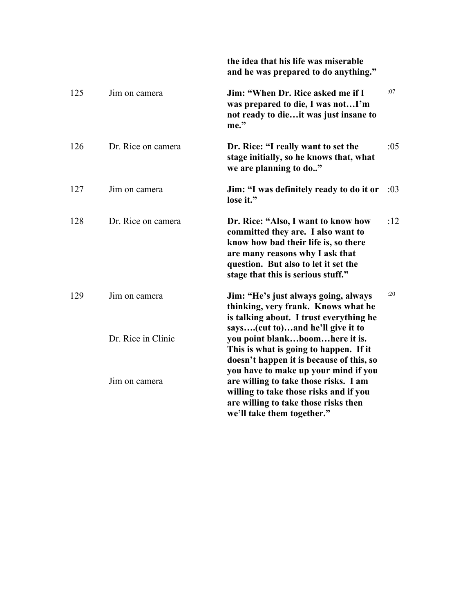|     |                    | the idea that his life was miserable<br>and he was prepared to do anything."                                                                                                                                                       |     |
|-----|--------------------|------------------------------------------------------------------------------------------------------------------------------------------------------------------------------------------------------------------------------------|-----|
| 125 | Jim on camera      | Jim: "When Dr. Rice asked me if I<br>was prepared to die, I was notI'm<br>not ready to dieit was just insane to<br>me."                                                                                                            | :07 |
| 126 | Dr. Rice on camera | Dr. Rice: "I really want to set the<br>stage initially, so he knows that, what<br>we are planning to do"                                                                                                                           | :05 |
| 127 | Jim on camera      | Jim: "I was definitely ready to do it or<br>lose it."                                                                                                                                                                              | :03 |
| 128 | Dr. Rice on camera | Dr. Rice: "Also, I want to know how<br>committed they are. I also want to<br>know how bad their life is, so there<br>are many reasons why I ask that<br>question. But also to let it set the<br>stage that this is serious stuff." | :12 |
| 129 | Jim on camera      | Jim: "He's just always going, always<br>thinking, very frank. Knows what he<br>is talking about. I trust everything he<br>says(cut to)and he'll give it to                                                                         | :20 |
|     | Dr. Rice in Clinic | you point blankboomhere it is.<br>This is what is going to happen. If it<br>doesn't happen it is because of this, so<br>you have to make up your mind if you                                                                       |     |
|     | Jim on camera      | are willing to take those risks. I am<br>willing to take those risks and if you<br>are willing to take those risks then<br>we'll take them together."                                                                              |     |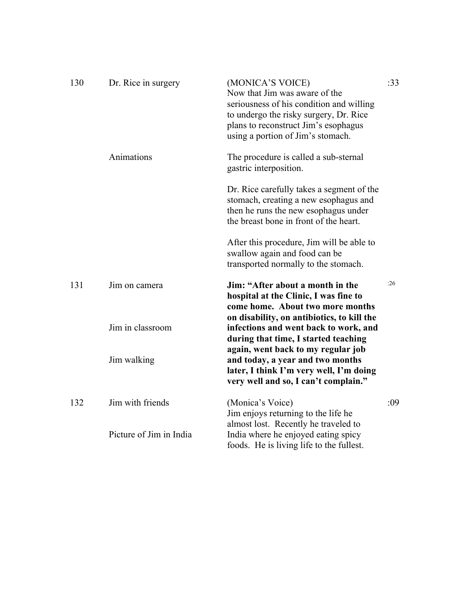| 130 | Dr. Rice in surgery     | (MONICA'S VOICE)<br>Now that Jim was aware of the<br>seriousness of his condition and willing<br>to undergo the risky surgery, Dr. Rice<br>plans to reconstruct Jim's esophagus<br>using a portion of Jim's stomach. | :33 |
|-----|-------------------------|----------------------------------------------------------------------------------------------------------------------------------------------------------------------------------------------------------------------|-----|
|     | Animations              | The procedure is called a sub-sternal<br>gastric interposition.                                                                                                                                                      |     |
|     |                         | Dr. Rice carefully takes a segment of the<br>stomach, creating a new esophagus and<br>then he runs the new esophagus under<br>the breast bone in front of the heart.                                                 |     |
|     |                         | After this procedure, Jim will be able to<br>swallow again and food can be<br>transported normally to the stomach.                                                                                                   |     |
| 131 | Jim on camera           | Jim: "After about a month in the<br>hospital at the Clinic, I was fine to<br>come home. About two more months<br>on disability, on antibiotics, to kill the                                                          | :26 |
|     | Jim in classroom        | infections and went back to work, and<br>during that time, I started teaching<br>again, went back to my regular job                                                                                                  |     |
|     | Jim walking             | and today, a year and two months<br>later, I think I'm very well, I'm doing<br>very well and so, I can't complain."                                                                                                  |     |
| 132 | Jim with friends        | (Monica's Voice)<br>Jim enjoys returning to the life he<br>almost lost. Recently he traveled to                                                                                                                      | :09 |
|     | Picture of Jim in India | India where he enjoyed eating spicy<br>foods. He is living life to the fullest.                                                                                                                                      |     |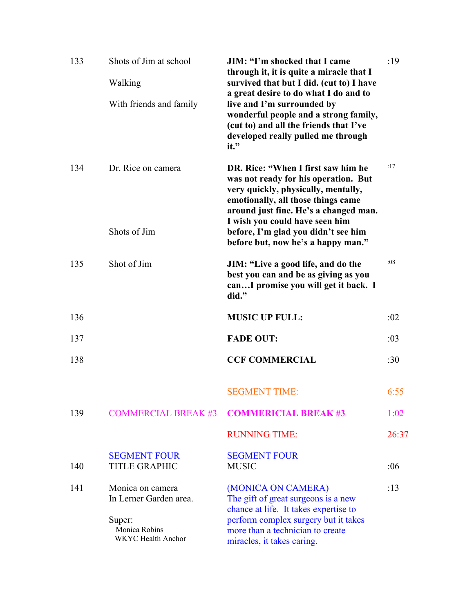| 133 | Shots of Jim at school<br>Walking                                                           | <b>JIM: "I'm shocked that I came</b><br>through it, it is quite a miracle that I<br>survived that but I did. (cut to) I have                                                                                                                                              | :19   |
|-----|---------------------------------------------------------------------------------------------|---------------------------------------------------------------------------------------------------------------------------------------------------------------------------------------------------------------------------------------------------------------------------|-------|
|     | With friends and family                                                                     | a great desire to do what I do and to<br>live and I'm surrounded by<br>wonderful people and a strong family,<br>(cut to) and all the friends that I've<br>developed really pulled me through<br>it."                                                                      |       |
| 134 | Dr. Rice on camera<br>Shots of Jim                                                          | DR. Rice: "When I first saw him he<br>was not ready for his operation. But<br>very quickly, physically, mentally,<br>emotionally, all those things came<br>around just fine. He's a changed man.<br>I wish you could have seen him<br>before, I'm glad you didn't see him | :17   |
|     |                                                                                             | before but, now he's a happy man."                                                                                                                                                                                                                                        |       |
| 135 | Shot of Jim                                                                                 | JIM: "Live a good life, and do the<br>best you can and be as giving as you<br>canI promise you will get it back. I<br>did."                                                                                                                                               | :08   |
| 136 |                                                                                             | <b>MUSIC UP FULL:</b>                                                                                                                                                                                                                                                     | :02   |
| 137 |                                                                                             | <b>FADE OUT:</b>                                                                                                                                                                                                                                                          | :03   |
| 138 |                                                                                             | <b>CCF COMMERCIAL</b>                                                                                                                                                                                                                                                     | :30   |
|     |                                                                                             | <b>SEGMENT TIME:</b>                                                                                                                                                                                                                                                      | 6:55  |
| 139 | <b>COMMERCIAL BREAK #3</b>                                                                  | <b>COMMERICIAL BREAK #3</b>                                                                                                                                                                                                                                               | 1:02  |
|     |                                                                                             | <b>RUNNING TIME:</b>                                                                                                                                                                                                                                                      | 26:37 |
| 140 | <b>SEGMENT FOUR</b><br><b>TITLE GRAPHIC</b>                                                 | <b>SEGMENT FOUR</b><br><b>MUSIC</b>                                                                                                                                                                                                                                       | :06   |
| 141 | Monica on camera<br>In Lerner Garden area.<br>Super:<br>Monica Robins<br>WKYC Health Anchor | (MONICA ON CAMERA)<br>The gift of great surgeons is a new<br>chance at life. It takes expertise to<br>perform complex surgery but it takes<br>more than a technician to create<br>miracles, it takes caring.                                                              | :13   |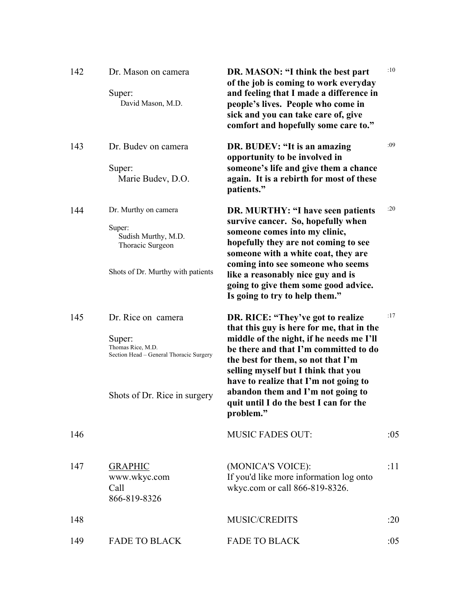| 142 | Dr. Mason on camera<br>Super:<br>David Mason, M.D.                                                                           | DR. MASON: "I think the best part<br>of the job is coming to work everyday<br>and feeling that I made a difference in<br>people's lives. People who come in<br>sick and you can take care of, give<br>comfort and hopefully some care to."                                                                                                                                            | :10 |
|-----|------------------------------------------------------------------------------------------------------------------------------|---------------------------------------------------------------------------------------------------------------------------------------------------------------------------------------------------------------------------------------------------------------------------------------------------------------------------------------------------------------------------------------|-----|
| 143 | Dr. Budev on camera<br>Super:<br>Marie Budev, D.O.                                                                           | DR. BUDEV: "It is an amazing<br>opportunity to be involved in<br>someone's life and give them a chance<br>again. It is a rebirth for most of these<br>patients."                                                                                                                                                                                                                      | :09 |
| 144 | Dr. Murthy on camera<br>Super:<br>Sudish Murthy, M.D.<br>Thoracic Surgeon<br>Shots of Dr. Murthy with patients               | DR. MURTHY: "I have seen patients<br>survive cancer. So, hopefully when<br>someone comes into my clinic,<br>hopefully they are not coming to see<br>someone with a white coat, they are<br>coming into see someone who seems<br>like a reasonably nice guy and is<br>going to give them some good advice.<br>Is going to try to help them."                                           | :20 |
| 145 | Dr. Rice on camera<br>Super:<br>Thomas Rice, M.D.<br>Section Head - General Thoracic Surgery<br>Shots of Dr. Rice in surgery | DR. RICE: "They've got to realize<br>that this guy is here for me, that in the<br>middle of the night, if he needs me I'll<br>be there and that I'm committed to do<br>the best for them, so not that I'm<br>selling myself but I think that you<br>have to realize that I'm not going to<br>abandon them and I'm not going to<br>quit until I do the best I can for the<br>problem." | :17 |
| 146 |                                                                                                                              | <b>MUSIC FADES OUT:</b>                                                                                                                                                                                                                                                                                                                                                               | :05 |
| 147 | <b>GRAPHIC</b><br>www.wkyc.com<br>Call<br>866-819-8326                                                                       | (MONICA'S VOICE):<br>If you'd like more information log onto<br>wkyc.com or call 866-819-8326.                                                                                                                                                                                                                                                                                        | :11 |
| 148 |                                                                                                                              | MUSIC/CREDITS                                                                                                                                                                                                                                                                                                                                                                         | :20 |
| 149 | <b>FADE TO BLACK</b>                                                                                                         | <b>FADE TO BLACK</b>                                                                                                                                                                                                                                                                                                                                                                  | :05 |